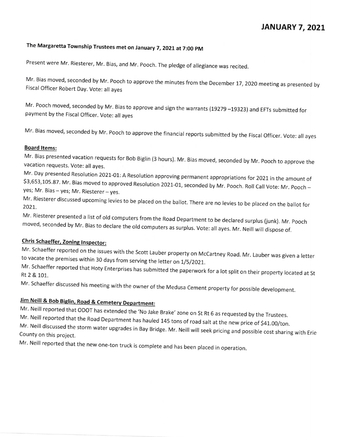## JANUARY 7, 2021

# The Margaretta Township Trustees met on January 7, 2021 at 7:00 PM

Present were Mr. Riesterer, Mr. Bias, and Mr. Pooch. The pledge of allegiance was recited.

Mr. Bias moved, seconded by Mr. Pooch to approve the minutes from the December 17, 2020 meeting as presented by Fiscal Officer Robert Day. Vote: all ayes

Mr. Pooch moved, seconded by Mr. Bias to approve and sign the warrants (19279 -19323) and EFTs submitted for payment by the Fiscal Officer. Vote: all ayes

Mr. Bias moved, seconded by Mr. Pooch to approve the financial reports submitted by the Fiscal Officer. Vote: all ayes

### **Board Items:**

Mr. Bias presented vacation requests for Bob Biglin (3 hours). Mr. Bias moved, seconded by Mr. Pooch to approve the VaCation requests. vote: aiI ayes.

Mr. Day presented Resolution 2021-01: A Resolution approving permanent appropriations for 2021 in the amount of \$3,653,105.87. Mr. Bias moved to approved Resolution 2021-01, seconded by Mr. Pooch. Roll Call Vote: Mr. Pooch yes; Mr. Bias - yes; Mr. Riesterer - yes.

Mr. Riesterer discussed upcoming levies to be placed on the ballot. There are no levies to be placed on the ballot for 2021.

Mr. Riesterer presented a list of old computers from the Road Department to be declared surplus (junk). Mr. Pooch moved, seconded by Mr. Bias to declare the old computers as surplus. Vote: all ayes. Mr. Neill will dispose of.<br> **Chris Schaeffer, Zoning Inspector:**<br>
Mr. Schaeffer reported on the issues with the Section of the United Sta

Mr. Schaeffer reported on the issues with the Scott Lauber property on McCartney Road. Mr. Lauber was given a letter<br>to vacate the premises within 30 days from serving the letter on 1/5/2021.

Mr. Schaeffer reported that Hoty Enterprises has submitted the paperwork for a lot split on their property located at St Rt 2 & 101.

Mr. Schaeffer discussed his meeting with the owner of the Medusa Cement property for possible development.

Jim Neill & Bob Biglin, Road & Cemetery Department:<br>Mr. Neill reported that ODOT has extended the 'No Jake Brake' zone on St Rt 6 as requested by the Trustees.

Mr. Neill reported that the Road Department has hauled 145 tons of road salt at the new price of \$41.00/ton. Mr. Neill discussed the storm water upgrades in Bay Bridge  $\sim$  Mr. New way seek price of sharing  $\sim$  1.00/ton.

County on this project.

Mr. Neill reported that the new one-ton truck is complete and has been placed in operation.